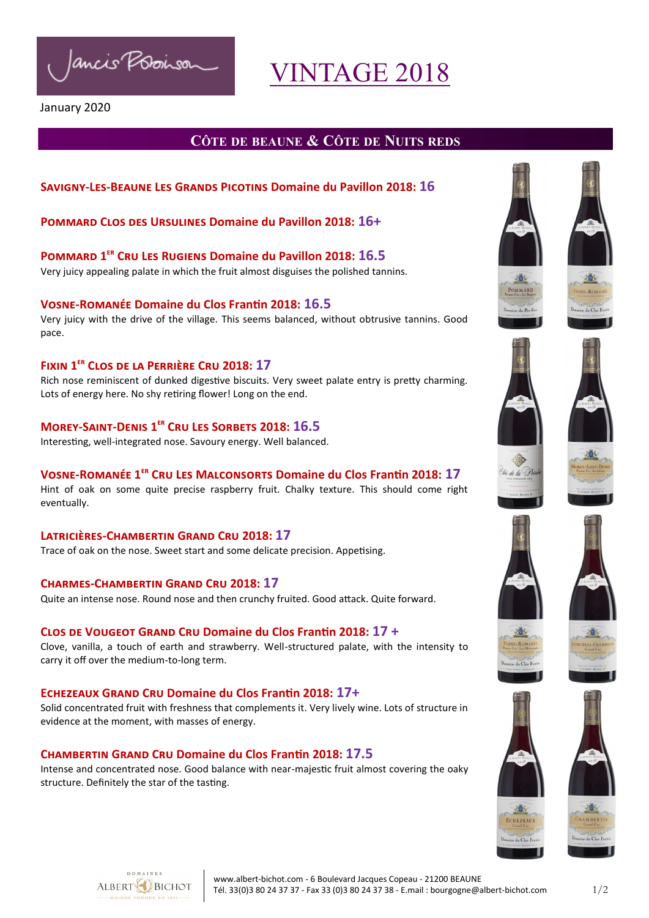Ancis Possinsor

# VINTAGE 2018

#### January 2020

## **CÔTE DE BEAUNE & CÔTE DE NUITS REDS**

#### **Savigny-Les-Beaune Les Grands Picotins [Domaine du Pavillon](https://www.jancisrobinson.com/tastings/view/627735) 2018: 16**

#### **Pommard Clos des Ursulines [Domaine du Pavillon 20](https://www.jancisrobinson.com/tastings/view/627736)18: 16+**

**Pommard 1er Cru Les Rugiens [Domaine du Pavillon 20](https://www.jancisrobinson.com/tastings/view/627736)18: 16.5** Very juicy appealing palate in which the fruit almost disguises the polished tannins.

#### **Vosne-Romanée Domaine du Clos Frantin 2018: 16.5**

Very juicy with the drive of the village. This seems balanced, without obtrusive tannins. Good pace.

#### **Fixin 1er Clos de la Perrière Cru 2018: 17**

Rich nose reminiscent of dunked digestive biscuits. Very sweet palate entry is pretty charming. Lots of energy here. No shy retiring flower! Long on the end.

#### **Morey-Saint-Denis 1er Cru Les Sorbets 2018: 16.5**

Interesting, well-integrated nose. Savoury energy. Well balanced.

#### **Vosne-Romanée 1er Cru Les Malconsorts Domaine du Clos Frantin 2018: 17**

Hint of oak on some quite precise raspberry fruit. Chalky texture. This should come right eventually.

**Latricières-Chambertin Grand Cru 2018: 17** Trace of oak on the nose. Sweet start and some delicate precision. Appetising.

#### **Charmes-Chambertin Grand Cru 2018: 17**

Quite an intense nose. Round nose and then crunchy fruited. Good attack. Quite forward.

#### **Clos de Vougeot Grand Cru Domaine du Clos Frantin 2018: 17 +**

Clove, vanilla, a touch of earth and strawberry. Well-structured palate, with the intensity to carry it off over the medium-to-long term.

#### **Echezeaux Grand Cru Domaine du Clos Frantin 2018: 17+**

Solid concentrated fruit with freshness that complements it. Very lively wine. Lots of structure in evidence at the moment, with masses of energy.

#### **[Chambertin](https://www.jancisrobinson.com/tastings/view/627754) Grand Cru Domaine du Clos Frantin 2018: 17.5**

Intense and concentrated nose. Good balance with near-majestic fruit almost covering the oaky structure. Definitely the star of the tasting.

























ne du Clos Fra